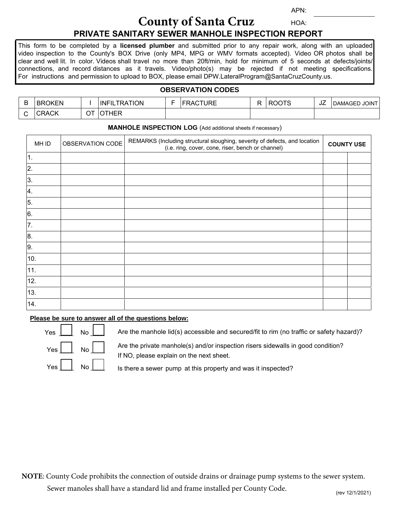APN:

#### **PRIVATE SANITARY SEWER MANHOLE INSPECTION REPORT County of Santa Cruz** HOA:

This form to be completed by a **licensed plumber** and submitted prior to any repair work, along with an uploaded video inspection to the County's BOX Drive (only MP4, MPG or WMV formats accepted). Video OR photos shall be clear and well lit. In color. Videos shall travel no more than 20ft/min, hold for minimum of 5 seconds at defects/joints/ connections, and record distances as it travels. Video/photo(s) may be rejected if not meeting specifications. For instructions and permission to upload to BOX, please email DPW.LateralProgram@SantaCruzCounty.us.

## **OBSERVATION CODES**

| <b>BROKEN</b>       |   | <b>TRATION</b><br><b>INFIL</b> | - | <b>TURE</b><br><b>FRAC</b> | <b>ROOTS</b> | $\overline{\phantom{a}}$<br>ےں | <b>DAMAGED JOINT</b> |
|---------------------|---|--------------------------------|---|----------------------------|--------------|--------------------------------|----------------------|
| ے .<br><b>CRACK</b> | ັ | <b>OTHER</b>                   |   |                            |              |                                |                      |

### **MANHOLE INSPECTION LOG** (Add additional sheets if necessary)

| MH ID      | OBSERVATION CODE | REMARKS (Including structural sloughing, severity of defects, and location<br>(i.e. ring, cover, cone, riser, bench or channel) | <b>COUNTY USE</b> |  |
|------------|------------------|---------------------------------------------------------------------------------------------------------------------------------|-------------------|--|
| $\vert$ 1. |                  |                                                                                                                                 |                   |  |
| 2.         |                  |                                                                                                                                 |                   |  |
| 3.         |                  |                                                                                                                                 |                   |  |
| 4.         |                  |                                                                                                                                 |                   |  |
| 5.         |                  |                                                                                                                                 |                   |  |
| 6.         |                  |                                                                                                                                 |                   |  |
| 7.         |                  |                                                                                                                                 |                   |  |
| 8.         |                  |                                                                                                                                 |                   |  |
| 9.         |                  |                                                                                                                                 |                   |  |
| 10.        |                  |                                                                                                                                 |                   |  |
| 11.        |                  |                                                                                                                                 |                   |  |
| 12.        |                  |                                                                                                                                 |                   |  |
| 13.        |                  |                                                                                                                                 |                   |  |
| 14.        |                  |                                                                                                                                 |                   |  |

## **Please be sure to answer all of the questions below:**



Are the manhole lid(s) accessible and secured/fit to rim (no traffic or safety hazard)?

Are the private manhole(s) and/or inspection risers sidewalls in good condition? If NO, please explain on the next sheet.

Is there a sewer pump at this property and was it inspected?

**NOTE**: County Code prohibits the connection of outside drains or drainage pump systems to the sewer system. Sewer manoles shall have a standard lid and frame installed per County Code.